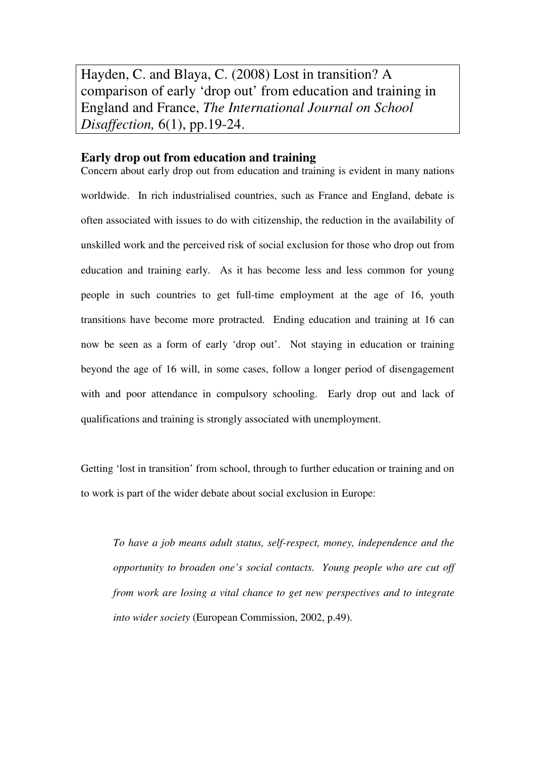Hayden, C. and Blaya, C. (2008) Lost in transition? A comparison of early 'drop out' from education and training in England and France, *The International Journal on School Disaffection,* 6(1), pp.19-24.

# **Early drop out from education and training**

Concern about early drop out from education and training is evident in many nations worldwide. In rich industrialised countries, such as France and England, debate is often associated with issues to do with citizenship, the reduction in the availability of unskilled work and the perceived risk of social exclusion for those who drop out from education and training early. As it has become less and less common for young people in such countries to get full-time employment at the age of 16, youth transitions have become more protracted. Ending education and training at 16 can now be seen as a form of early 'drop out'. Not staying in education or training beyond the age of 16 will, in some cases, follow a longer period of disengagement with and poor attendance in compulsory schooling. Early drop out and lack of qualifications and training is strongly associated with unemployment.

Getting 'lost in transition' from school, through to further education or training and on to work is part of the wider debate about social exclusion in Europe:

*To have a job means adult status, self-respect, money, independence and the opportunity to broaden one's social contacts. Young people who are cut off from work are losing a vital chance to get new perspectives and to integrate into wider society* (European Commission, 2002, p.49).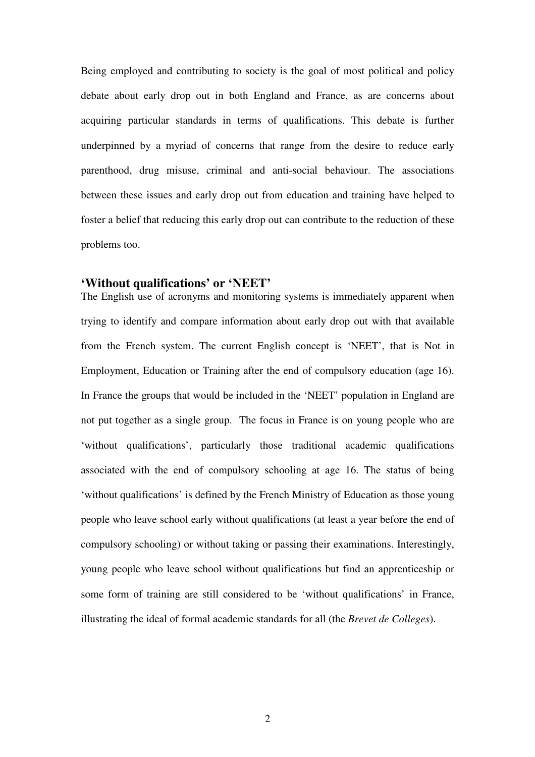Being employed and contributing to society is the goal of most political and policy debate about early drop out in both England and France, as are concerns about acquiring particular standards in terms of qualifications. This debate is further underpinned by a myriad of concerns that range from the desire to reduce early parenthood, drug misuse, criminal and anti-social behaviour. The associations between these issues and early drop out from education and training have helped to foster a belief that reducing this early drop out can contribute to the reduction of these problems too.

# **'Without qualifications' or 'NEET'**

The English use of acronyms and monitoring systems is immediately apparent when trying to identify and compare information about early drop out with that available from the French system. The current English concept is 'NEET', that is Not in Employment, Education or Training after the end of compulsory education (age 16). In France the groups that would be included in the 'NEET' population in England are not put together as a single group. The focus in France is on young people who are 'without qualifications', particularly those traditional academic qualifications associated with the end of compulsory schooling at age 16. The status of being 'without qualifications' is defined by the French Ministry of Education as those young people who leave school early without qualifications (at least a year before the end of compulsory schooling) or without taking or passing their examinations. Interestingly, young people who leave school without qualifications but find an apprenticeship or some form of training are still considered to be 'without qualifications' in France, illustrating the ideal of formal academic standards for all (the *Brevet de Colleges*).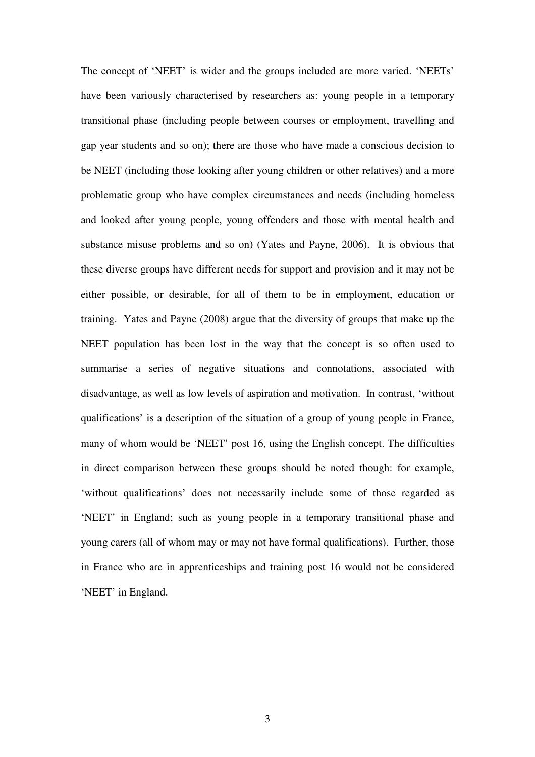The concept of 'NEET' is wider and the groups included are more varied. 'NEETs' have been variously characterised by researchers as: young people in a temporary transitional phase (including people between courses or employment, travelling and gap year students and so on); there are those who have made a conscious decision to be NEET (including those looking after young children or other relatives) and a more problematic group who have complex circumstances and needs (including homeless and looked after young people, young offenders and those with mental health and substance misuse problems and so on) (Yates and Payne, 2006). It is obvious that these diverse groups have different needs for support and provision and it may not be either possible, or desirable, for all of them to be in employment, education or training. Yates and Payne (2008) argue that the diversity of groups that make up the NEET population has been lost in the way that the concept is so often used to summarise a series of negative situations and connotations, associated with disadvantage, as well as low levels of aspiration and motivation. In contrast, 'without qualifications' is a description of the situation of a group of young people in France, many of whom would be 'NEET' post 16, using the English concept. The difficulties in direct comparison between these groups should be noted though: for example, 'without qualifications' does not necessarily include some of those regarded as 'NEET' in England; such as young people in a temporary transitional phase and young carers (all of whom may or may not have formal qualifications). Further, those in France who are in apprenticeships and training post 16 would not be considered 'NEET' in England.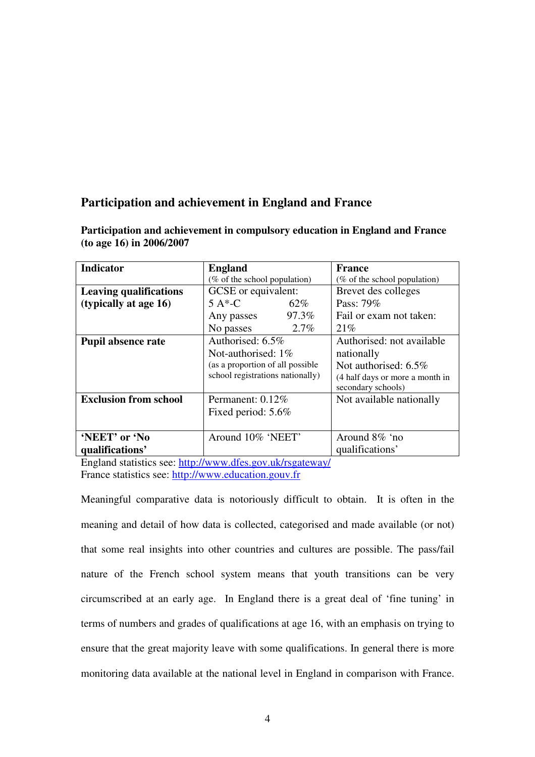# **Participation and achievement in England and France**

| <b>Indicator</b>              | <b>England</b>                   | France                                                |
|-------------------------------|----------------------------------|-------------------------------------------------------|
|                               | (% of the school population)     | (% of the school population)                          |
| <b>Leaving qualifications</b> | GCSE or equivalent:              | Brevet des colleges                                   |
| (typically at age 16)         | $5A*-C$<br>62%                   | Pass: 79%                                             |
|                               | 97.3%<br>Any passes              | Fail or exam not taken:                               |
|                               | 2.7%<br>No passes                | 21%                                                   |
| <b>Pupil absence rate</b>     | Authorised: 6.5%                 | Authorised: not available                             |
|                               | Not-authorised: $1\%$            | nationally                                            |
|                               | (as a proportion of all possible | Not authorised: $6.5\%$                               |
|                               | school registrations nationally) | (4 half days or more a month in<br>secondary schools) |
| <b>Exclusion from school</b>  | Permanent: 0.12%                 | Not available nationally                              |
|                               | Fixed period: 5.6%               |                                                       |
|                               |                                  |                                                       |
| 'NEET' or 'No                 | Around 10% 'NEET'                | Around 8% 'no                                         |
| qualifications'               |                                  | qualifications'                                       |

**Participation and achievement in compulsory education in England and France (to age 16) in 2006/2007**

England statistics see: http://www.dfes.gov.uk/rsgateway/ France statistics see: http://www.education.gouv.fr

Meaningful comparative data is notoriously difficult to obtain. It is often in the meaning and detail of how data is collected, categorised and made available (or not) that some real insights into other countries and cultures are possible. The pass/fail nature of the French school system means that youth transitions can be very circumscribed at an early age. In England there is a great deal of 'fine tuning' in terms of numbers and grades of qualifications at age 16, with an emphasis on trying to ensure that the great majority leave with some qualifications. In general there is more monitoring data available at the national level in England in comparison with France.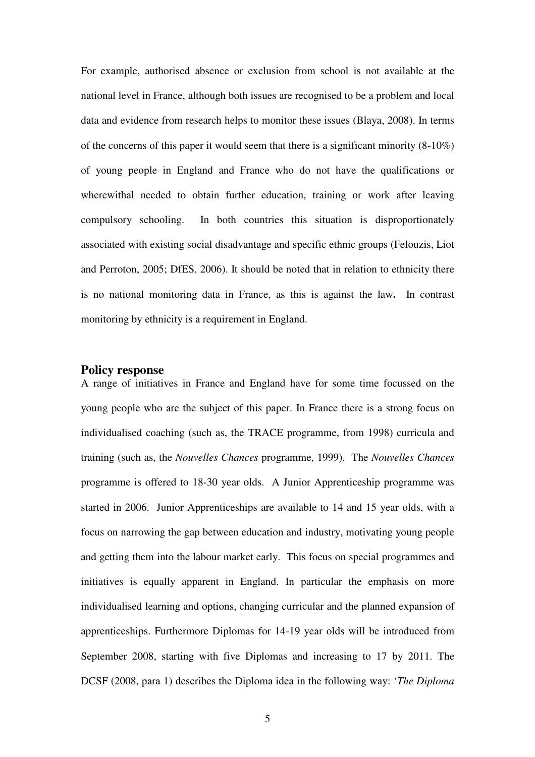For example, authorised absence or exclusion from school is not available at the national level in France, although both issues are recognised to be a problem and local data and evidence from research helps to monitor these issues (Blaya, 2008). In terms of the concerns of this paper it would seem that there is a significant minority (8-10%) of young people in England and France who do not have the qualifications or wherewithal needed to obtain further education, training or work after leaving compulsory schooling. In both countries this situation is disproportionately associated with existing social disadvantage and specific ethnic groups (Felouzis, Liot and Perroton, 2005; DfES, 2006). It should be noted that in relation to ethnicity there is no national monitoring data in France, as this is against the law**.** In contrast monitoring by ethnicity is a requirement in England.

# **Policy response**

A range of initiatives in France and England have for some time focussed on the young people who are the subject of this paper. In France there is a strong focus on individualised coaching (such as, the TRACE programme, from 1998) curricula and training (such as, the *Nouvelles Chances* programme, 1999). The *Nouvelles Chances* programme is offered to 18-30 year olds. A Junior Apprenticeship programme was started in 2006. Junior Apprenticeships are available to 14 and 15 year olds, with a focus on narrowing the gap between education and industry, motivating young people and getting them into the labour market early. This focus on special programmes and initiatives is equally apparent in England. In particular the emphasis on more individualised learning and options, changing curricular and the planned expansion of apprenticeships. Furthermore Diplomas for 14-19 year olds will be introduced from September 2008, starting with five Diplomas and increasing to 17 by 2011. The DCSF (2008, para 1) describes the Diploma idea in the following way: '*The Diploma*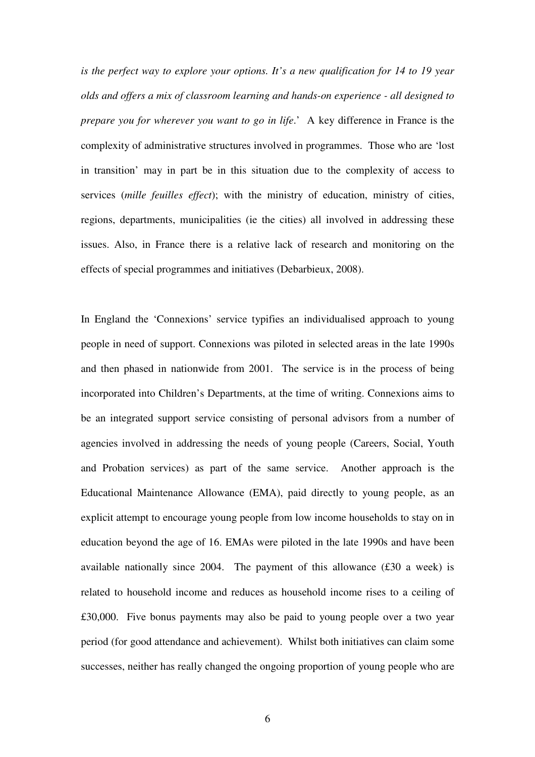*is the perfect way to explore your options. It's a new qualification for 14 to 19 year olds and offers a mix of classroom learning and hands-on experience - all designed to prepare you for wherever you want to go in life*.' A key difference in France is the complexity of administrative structures involved in programmes. Those who are 'lost in transition' may in part be in this situation due to the complexity of access to services (*mille feuilles effect*); with the ministry of education, ministry of cities, regions, departments, municipalities (ie the cities) all involved in addressing these issues. Also, in France there is a relative lack of research and monitoring on the effects of special programmes and initiatives (Debarbieux, 2008).

In England the 'Connexions' service typifies an individualised approach to young people in need of support. Connexions was piloted in selected areas in the late 1990s and then phased in nationwide from 2001. The service is in the process of being incorporated into Children's Departments, at the time of writing. Connexions aims to be an integrated support service consisting of personal advisors from a number of agencies involved in addressing the needs of young people (Careers, Social, Youth and Probation services) as part of the same service. Another approach is the Educational Maintenance Allowance (EMA), paid directly to young people, as an explicit attempt to encourage young people from low income households to stay on in education beyond the age of 16. EMAs were piloted in the late 1990s and have been available nationally since 2004. The payment of this allowance (£30 a week) is related to household income and reduces as household income rises to a ceiling of £30,000. Five bonus payments may also be paid to young people over a two year period (for good attendance and achievement). Whilst both initiatives can claim some successes, neither has really changed the ongoing proportion of young people who are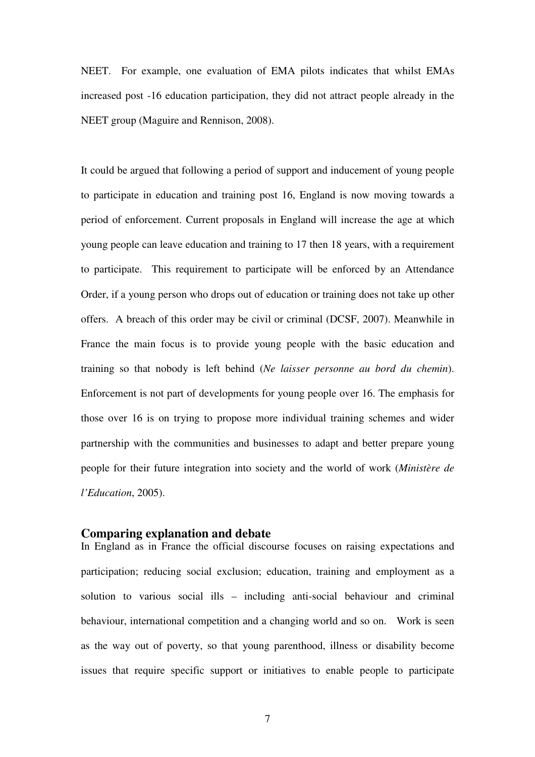NEET. For example, one evaluation of EMA pilots indicates that whilst EMAs increased post -16 education participation, they did not attract people already in the NEET group (Maguire and Rennison, 2008).

It could be argued that following a period of support and inducement of young people to participate in education and training post 16, England is now moving towards a period of enforcement. Current proposals in England will increase the age at which young people can leave education and training to 17 then 18 years, with a requirement to participate. This requirement to participate will be enforced by an Attendance Order, if a young person who drops out of education or training does not take up other offers. A breach of this order may be civil or criminal (DCSF, 2007). Meanwhile in France the main focus is to provide young people with the basic education and training so that nobody is left behind (*Ne laisser personne au bord du chemin*). Enforcement is not part of developments for young people over 16. The emphasis for those over 16 is on trying to propose more individual training schemes and wider partnership with the communities and businesses to adapt and better prepare young people for their future integration into society and the world of work (*Ministère de l'Education*, 2005).

#### **Comparing explanation and debate**

In England as in France the official discourse focuses on raising expectations and participation; reducing social exclusion; education, training and employment as a solution to various social ills – including anti-social behaviour and criminal behaviour, international competition and a changing world and so on. Work is seen as the way out of poverty, so that young parenthood, illness or disability become issues that require specific support or initiatives to enable people to participate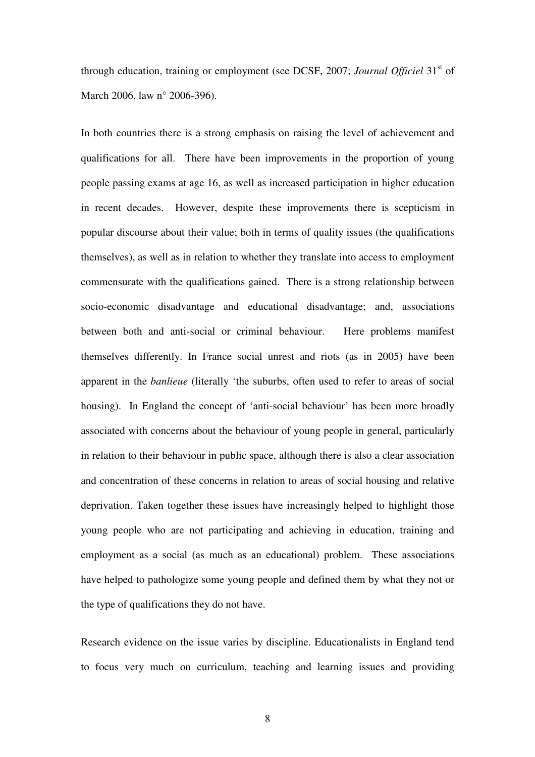through education, training or employment (see DCSF, 2007; *Journal Officiel* 31<sup>st</sup> of March 2006, law n° 2006-396).

In both countries there is a strong emphasis on raising the level of achievement and qualifications for all. There have been improvements in the proportion of young people passing exams at age 16, as well as increased participation in higher education in recent decades. However, despite these improvements there is scepticism in popular discourse about their value; both in terms of quality issues (the qualifications themselves), as well as in relation to whether they translate into access to employment commensurate with the qualifications gained. There is a strong relationship between socio-economic disadvantage and educational disadvantage; and, associations between both and anti-social or criminal behaviour. Here problems manifest themselves differently. In France social unrest and riots (as in 2005) have been apparent in the *banlieue* (literally 'the suburbs, often used to refer to areas of social housing). In England the concept of 'anti-social behaviour' has been more broadly associated with concerns about the behaviour of young people in general, particularly in relation to their behaviour in public space, although there is also a clear association and concentration of these concerns in relation to areas of social housing and relative deprivation. Taken together these issues have increasingly helped to highlight those young people who are not participating and achieving in education, training and employment as a social (as much as an educational) problem. These associations have helped to pathologize some young people and defined them by what they not or the type of qualifications they do not have.

Research evidence on the issue varies by discipline. Educationalists in England tend to focus very much on curriculum, teaching and learning issues and providing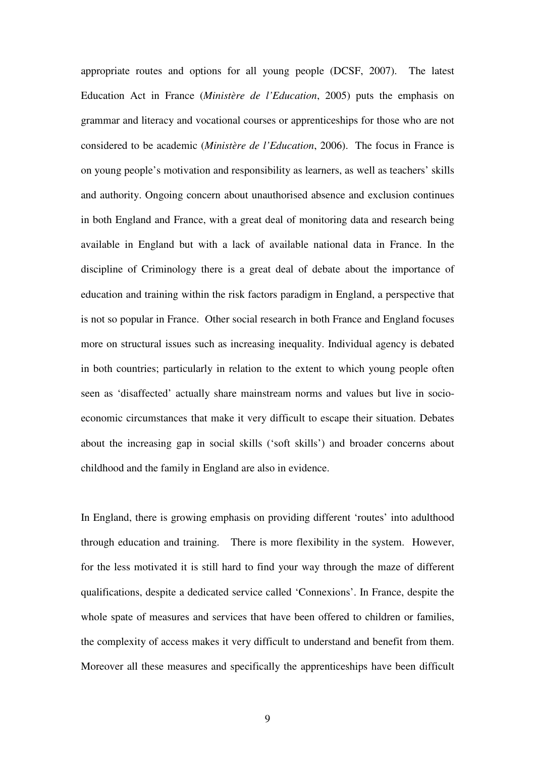appropriate routes and options for all young people (DCSF, 2007). The latest Education Act in France (*Ministère de l'Education*, 2005) puts the emphasis on grammar and literacy and vocational courses or apprenticeships for those who are not considered to be academic (*Ministère de l'Education*, 2006). The focus in France is on young people's motivation and responsibility as learners, as well as teachers' skills and authority. Ongoing concern about unauthorised absence and exclusion continues in both England and France, with a great deal of monitoring data and research being available in England but with a lack of available national data in France. In the discipline of Criminology there is a great deal of debate about the importance of education and training within the risk factors paradigm in England, a perspective that is not so popular in France. Other social research in both France and England focuses more on structural issues such as increasing inequality. Individual agency is debated in both countries; particularly in relation to the extent to which young people often seen as 'disaffected' actually share mainstream norms and values but live in socioeconomic circumstances that make it very difficult to escape their situation. Debates about the increasing gap in social skills ('soft skills') and broader concerns about childhood and the family in England are also in evidence.

In England, there is growing emphasis on providing different 'routes' into adulthood through education and training. There is more flexibility in the system. However, for the less motivated it is still hard to find your way through the maze of different qualifications, despite a dedicated service called 'Connexions'. In France, despite the whole spate of measures and services that have been offered to children or families, the complexity of access makes it very difficult to understand and benefit from them. Moreover all these measures and specifically the apprenticeships have been difficult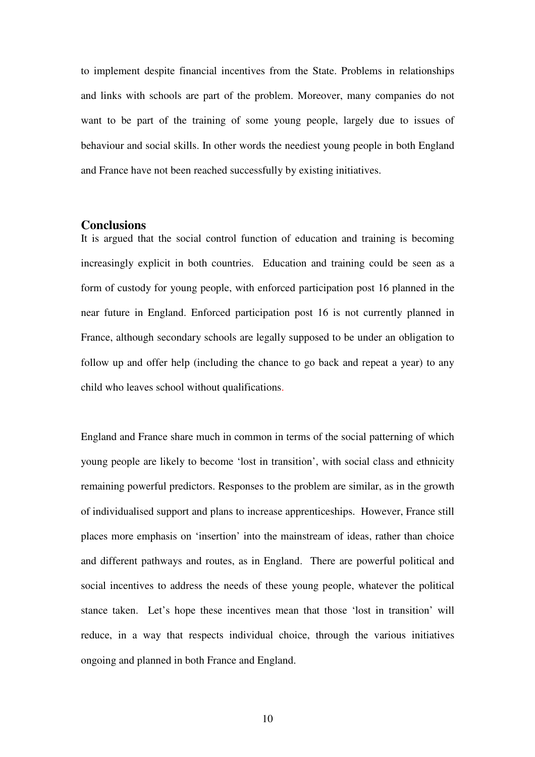to implement despite financial incentives from the State. Problems in relationships and links with schools are part of the problem. Moreover, many companies do not want to be part of the training of some young people, largely due to issues of behaviour and social skills. In other words the neediest young people in both England and France have not been reached successfully by existing initiatives.

### **Conclusions**

It is argued that the social control function of education and training is becoming increasingly explicit in both countries. Education and training could be seen as a form of custody for young people, with enforced participation post 16 planned in the near future in England. Enforced participation post 16 is not currently planned in France, although secondary schools are legally supposed to be under an obligation to follow up and offer help (including the chance to go back and repeat a year) to any child who leaves school without qualifications.

England and France share much in common in terms of the social patterning of which young people are likely to become 'lost in transition', with social class and ethnicity remaining powerful predictors. Responses to the problem are similar, as in the growth of individualised support and plans to increase apprenticeships. However, France still places more emphasis on 'insertion' into the mainstream of ideas, rather than choice and different pathways and routes, as in England. There are powerful political and social incentives to address the needs of these young people, whatever the political stance taken. Let's hope these incentives mean that those 'lost in transition' will reduce, in a way that respects individual choice, through the various initiatives ongoing and planned in both France and England.